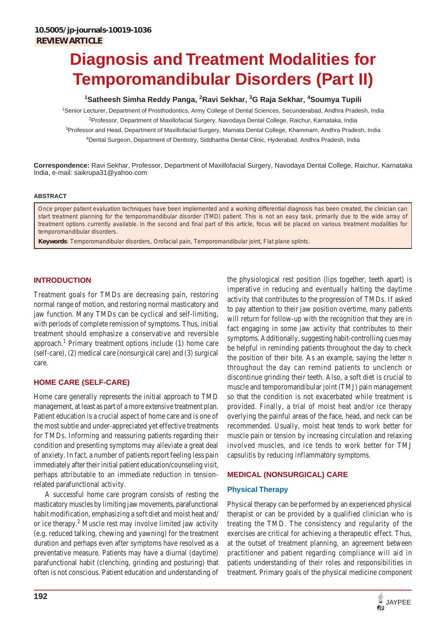# **Diagnosis and Treatment Modalities for Temporomandibular Disorders (Part II)**

# <sup>1</sup>Satheesh Simha Reddy Panga, <sup>2</sup>Ravi Sekhar, <sup>3</sup>G Raja Sekhar, <sup>4</sup>Soumya Tupili

1 Senior Lecturer, Department of Prosthodontics, Army College of Dental Sciences, Secunderabad, Andhra Pradesh, India <sup>2</sup>Professor, Department of Maxillofacial Surgery, Navodaya Dental College, Raichur, Karnataka, India <sup>3</sup>Professor and Head, Department of Maxillofacial Surgery, Mamata Dental College, Khammam, Andhra Pradesh, India 4 Dental Surgeon, Department of Dentistry, Siddhartha Dental Clinic, Hyderabad, Andhra Pradesh, India

**Correspondence:** Ravi Sekhar, Professor, Department of Maxillofacial Surgery, Navodaya Dental College, Raichur, Karnataka India, e-mail: saikrupa31@yahoo.com

#### **ABSTRACT**

Once proper patient evaluation techniques have been implemented and a working differential diagnosis has been created, the clinician can start treatment planning for the temporomandibular disorder (TMD) patient. This is not an easy task, primarily due to the wide array of treatment options currently available. In the second and final part of this article, focus will be placed on various treatment modalities for temporomandibular disorders.

**Keywords**: Temporomandibular disorders, Orofacial pain, Temporomandibular joint, Flat plane splints.

# **INTRODUCTION**

Treatment goals for TMDs are decreasing pain, restoring normal range of motion, and restoring normal masticatory and jaw function. Many TMDs can be cyclical and self-limiting, with periods of complete remission of symptoms. Thus, initial treatment should emphasize a conservative and reversible approach.<sup>1</sup> Primary treatment options include (1) home care (self-care), (2) medical care (nonsurgical care) and (3) surgical care.

# **HOME CARE (SELF-CARE)**

Home care generally represents the initial approach to TMD management, at least as part of a more extensive treatment plan. Patient education is a crucial aspect of home care and is one of the most subtle and under-appreciated yet effective treatments for TMDs. Informing and reassuring patients regarding their condition and presenting symptoms may alleviate a great deal of anxiety. In fact, a number of patients report feeling less pain immediately after their initial patient education/counseling visit, perhaps attributable to an immediate reduction in tensionrelated parafunctional activity.

A successful home care program consists of resting the masticatory muscles by limiting jaw movements, parafunctional habit modification, emphasizing a soft diet and moist heat and/ or ice therapy.<sup>2</sup> Muscle rest may involve limited jaw activity (e.g. reduced talking, chewing and yawning) for the treatment duration and perhaps even after symptoms have resolved as a preventative measure. Patients may have a diurnal (daytime) parafunctional habit (clenching, grinding and posturing) that often is not conscious. Patient education and understanding of the physiological rest position (lips together, teeth apart) is imperative in reducing and eventually halting the daytime activity that contributes to the progression of TMDs. If asked to pay attention to their jaw position overtime, many patients will return for follow-up with the recognition that they are in fact engaging in some jaw activity that contributes to their symptoms. Additionally, suggesting habit-controlling cues may be helpful in reminding patients throughout the day to check the position of their bite. As an example, saying the letter n throughout the day can remind patients to unclench or discontinue grinding their teeth. Also, a soft diet is crucial to muscle and temporomandibular joint (TMJ) pain management so that the condition is not exacerbated while treatment is provided. Finally, a trial of moist heat and/or ice therapy overlying the painful areas of the face, head, and neck can be recommended. Usually, moist heat tends to work better for muscle pain or tension by increasing circulation and relaxing involved muscles, and ice tends to work better for TMJ capsulitis by reducing inflammatory symptoms.

#### **MEDICAL (NONSURGICAL) CARE**

#### **Physical Therapy**

Physical therapy can be performed by an experienced physical therapist or can be provided by a qualified clinician who is treating the TMD. The consistency and regularity of the exercises are critical for achieving a therapeutic effect. Thus, at the outset of treatment planning, an agreement between practitioner and patient regarding compliance will aid in patients understanding of their roles and responsibilities in treatment. Primary goals of the physical medicine component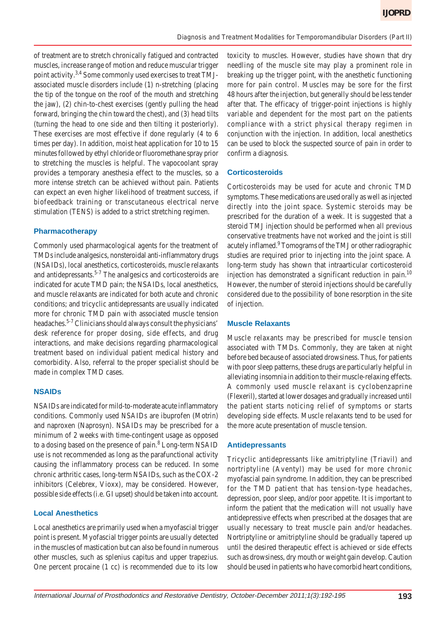of treatment are to stretch chronically fatigued and contracted muscles, increase range of motion and reduce muscular trigger point activity.3,4 Some commonly used exercises to treat TMJassociated muscle disorders include (1) n-stretching (placing the tip of the tongue on the roof of the mouth and stretching the jaw), (2) chin-to-chest exercises (gently pulling the head forward, bringing the chin toward the chest), and (3) head tilts (turning the head to one side and then tilting it posteriorly). These exercises are most effective if done regularly (4 to 6 times per day). In addition, moist heat application for 10 to 15 minutes followed by ethyl chloride or fluoromethane spray prior to stretching the muscles is helpful. The vapocoolant spray provides a temporary anesthesia effect to the muscles, so a more intense stretch can be achieved without pain. Patients can expect an even higher likelihood of treatment success, if biofeedback training or transcutaneous electrical nerve stimulation (TENS) is added to a strict stretching regimen.

# **Pharmacotherapy**

Commonly used pharmacological agents for the treatment of TMDs include analgesics, nonsteroidal anti-inflammatory drugs (NSAIDs), local anesthetics, corticosteroids, muscle relaxants and antidepressants.<sup>5-7</sup> The analgesics and corticosteroids are indicated for acute TMD pain; the NSAIDs, local anesthetics, and muscle relaxants are indicated for both acute and chronic conditions; and tricyclic antidepressants are usually indicated more for chronic TMD pain with associated muscle tension headaches.5-7 Clinicians should always consult the physicians' desk reference for proper dosing, side effects, and drug interactions, and make decisions regarding pharmacological treatment based on individual patient medical history and comorbidity. Also, referral to the proper specialist should be made in complex TMD cases.

# **NSAIDs**

NSAIDs are indicated for mild-to-moderate acute inflammatory conditions. Commonly used NSAIDs are ibuprofen (Motrin) and naproxen (Naprosyn). NSAIDs may be prescribed for a minimum of 2 weeks with time-contingent usage as opposed to a dosing based on the presence of pain.<sup>8</sup> Long-term NSAID use is not recommended as long as the parafunctional activity causing the inflammatory process can be reduced. In some chronic arthritic cases, long-term NSAIDs, such as the COX-2 inhibitors (Celebrex, Vioxx), may be considered. However, possible side effects (i.e. GI upset) should be taken into account.

### **Local Anesthetics**

Local anesthetics are primarily used when a myofascial trigger point is present. Myofascial trigger points are usually detected in the muscles of mastication but can also be found in numerous other muscles, such as splenius capitus and upper trapezius. One percent procaine (1 cc) is recommended due to its low toxicity to muscles. However, studies have shown that dry needling of the muscle site may play a prominent role in breaking up the trigger point, with the anesthetic functioning more for pain control. Muscles may be sore for the first 48 hours after the injection, but generally should be less tender after that. The efficacy of trigger-point injections is highly variable and dependent for the most part on the patients compliance with a strict physical therapy regimen in conjunction with the injection. In addition, local anesthetics can be used to block the suspected source of pain in order to confirm a diagnosis.

# **Corticosteroids**

Corticosteroids may be used for acute and chronic TMD symptoms. These medications are used orally as well as injected directly into the joint space. Systemic steroids may be prescribed for the duration of a week. It is suggested that a steroid TMJ injection should be performed when all previous conservative treatments have not worked and the joint is still acutely inflamed.<sup>9</sup> Tomograms of the TMJ or other radiographic studies are required prior to injecting into the joint space. A long-term study has shown that intraarticular corticosteroid injection has demonstrated a significant reduction in pain.<sup>10</sup> However, the number of steroid injections should be carefully considered due to the possibility of bone resorption in the site of injection.

#### **Muscle Relaxants**

Muscle relaxants may be prescribed for muscle tension associated with TMDs. Commonly, they are taken at night before bed because of associated drowsiness. Thus, for patients with poor sleep patterns, these drugs are particularly helpful in alleviating insomnia in addition to their muscle-relaxing effects. A commonly used muscle relaxant is cyclobenzaprine (Flexeril), started at lower dosages and gradually increased until the patient starts noticing relief of symptoms or starts developing side effects. Muscle relaxants tend to be used for the more acute presentation of muscle tension.

#### **Antidepressants**

Tricyclic antidepressants like amitriptyline (Triavil) and nortriptyline (Aventyl) may be used for more chronic myofascial pain syndrome. In addition, they can be prescribed for the TMD patient that has tension-type headaches, depression, poor sleep, and/or poor appetite. It is important to inform the patient that the medication will not usually have antidepressive effects when prescribed at the dosages that are usually necessary to treat muscle pain and/or headaches. Nortriptyline or amitriptyline should be gradually tapered up until the desired therapeutic effect is achieved or side effects such as drowsiness, dry mouth or weight gain develop. Caution should be used in patients who have comorbid heart conditions,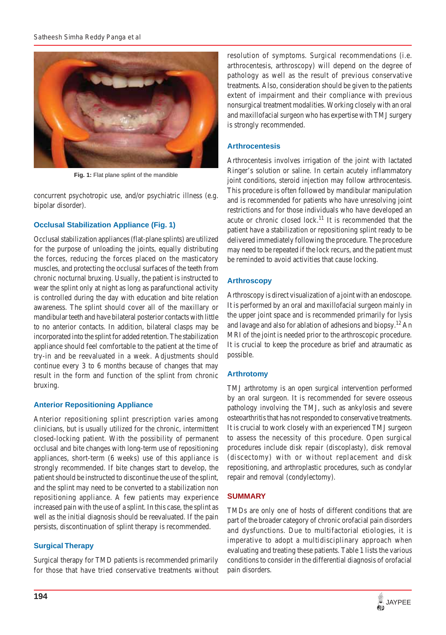

**Fig. 1:** Flat plane splint of the mandible

concurrent psychotropic use, and/or psychiatric illness (e.g. bipolar disorder).

# **Occlusal Stabilization Appliance (Fig. 1)**

Occlusal stabilization appliances (flat-plane splints) are utilized for the purpose of unloading the joints, equally distributing the forces, reducing the forces placed on the masticatory muscles, and protecting the occlusal surfaces of the teeth from chronic nocturnal bruxing. Usually, the patient is instructed to wear the splint only at night as long as parafunctional activity is controlled during the day with education and bite relation awareness. The splint should cover all of the maxillary or mandibular teeth and have bilateral posterior contacts with little to no anterior contacts. In addition, bilateral clasps may be incorporated into the splint for added retention. The stabilization appliance should feel comfortable to the patient at the time of try-in and be reevaluated in a week. Adjustments should continue every 3 to 6 months because of changes that may result in the form and function of the splint from chronic bruxing.

#### **Anterior Repositioning Appliance**

Anterior repositioning splint prescription varies among clinicians, but is usually utilized for the chronic, intermittent closed-locking patient. With the possibility of permanent occlusal and bite changes with long-term use of repositioning appliances, short-term (6 weeks) use of this appliance is strongly recommended. If bite changes start to develop, the patient should be instructed to discontinue the use of the splint, and the splint may need to be converted to a stabilization non repositioning appliance. A few patients may experience increased pain with the use of a splint. In this case, the splint as well as the initial diagnosis should be reevaluated. If the pain persists, discontinuation of splint therapy is recommended.

#### **Surgical Therapy**

Surgical therapy for TMD patients is recommended primarily for those that have tried conservative treatments without resolution of symptoms. Surgical recommendations (i.e. arthrocentesis, arthroscopy) will depend on the degree of pathology as well as the result of previous conservative treatments. Also, consideration should be given to the patients extent of impairment and their compliance with previous nonsurgical treatment modalities. Working closely with an oral and maxillofacial surgeon who has expertise with TMJ surgery is strongly recommended.

# **Arthrocentesis**

Arthrocentesis involves irrigation of the joint with lactated Ringer's solution or saline. In certain acutely inflammatory joint conditions, steroid injection may follow arthrocentesis. This procedure is often followed by mandibular manipulation and is recommended for patients who have unresolving joint restrictions and for those individuals who have developed an acute or chronic closed lock.<sup>11</sup> It is recommended that the patient have a stabilization or repositioning splint ready to be delivered immediately following the procedure. The procedure may need to be repeated if the lock recurs, and the patient must be reminded to avoid activities that cause locking.

# **Arthroscopy**

Arthroscopy is direct visualization of a joint with an endoscope. It is performed by an oral and maxillofacial surgeon mainly in the upper joint space and is recommended primarily for lysis and lavage and also for ablation of adhesions and biopsy.12 An MRI of the joint is needed prior to the arthroscopic procedure. It is crucial to keep the procedure as brief and atraumatic as possible.

#### **Arthrotomy**

TMJ arthrotomy is an open surgical intervention performed by an oral surgeon. It is recommended for severe osseous pathology involving the TMJ, such as ankylosis and severe osteoarthritis that has not responded to conservative treatments. It is crucial to work closely with an experienced TMJ surgeon to assess the necessity of this procedure. Open surgical procedures include disk repair (discoplasty), disk removal (discectomy) with or without replacement and disk repositioning, and arthroplastic procedures, such as condylar repair and removal (condylectomy).

#### **SUMMARY**

TMDs are only one of hosts of different conditions that are part of the broader category of chronic orofacial pain disorders and dysfunctions. Due to multifactorial etiologies, it is imperative to adopt a multidisciplinary approach when evaluating and treating these patients. Table 1 lists the various conditions to consider in the differential diagnosis of orofacial pain disorders.